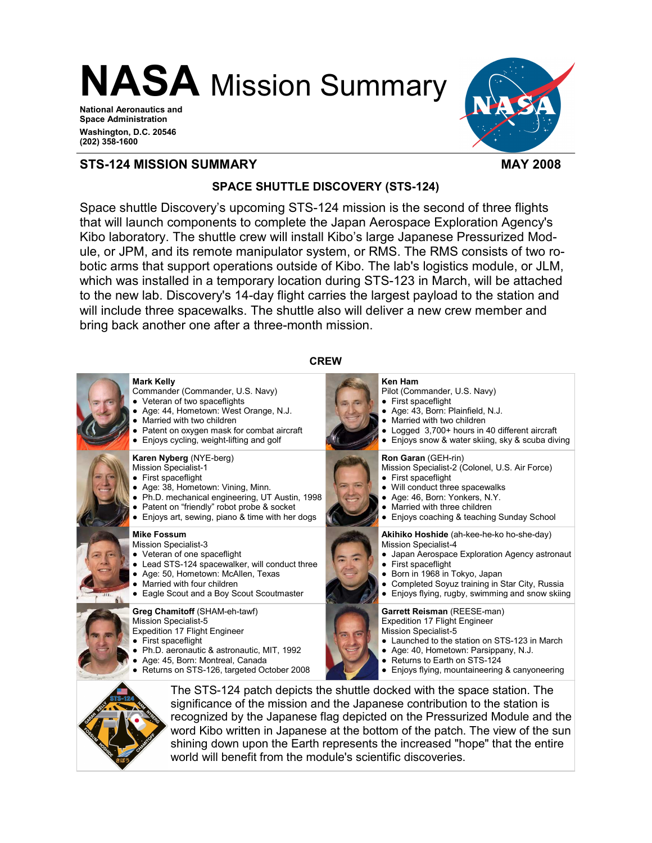NASA Mission Summary

National Aeronautics and Space Administration Washington, D.C. 20546 (202) 358-1600



### STS-124 MISSION SUMMARY **MAY 2008**

## SPACE SHUTTLE DISCOVERY (STS-124)

Space shuttle Discovery's upcoming STS-124 mission is the second of three flights that will launch components to complete the Japan Aerospace Exploration Agency's Kibo laboratory. The shuttle crew will install Kibo's large Japanese Pressurized Module, or JPM, and its remote manipulator system, or RMS. The RMS consists of two robotic arms that support operations outside of Kibo. The lab's logistics module, or JLM, which was installed in a temporary location during STS-123 in March, will be attached to the new lab. Discovery's 14-day flight carries the largest payload to the station and will include three spacewalks. The shuttle also will deliver a new crew member and bring back another one after a three-month mission.



world will benefit from the module's scientific discoveries.